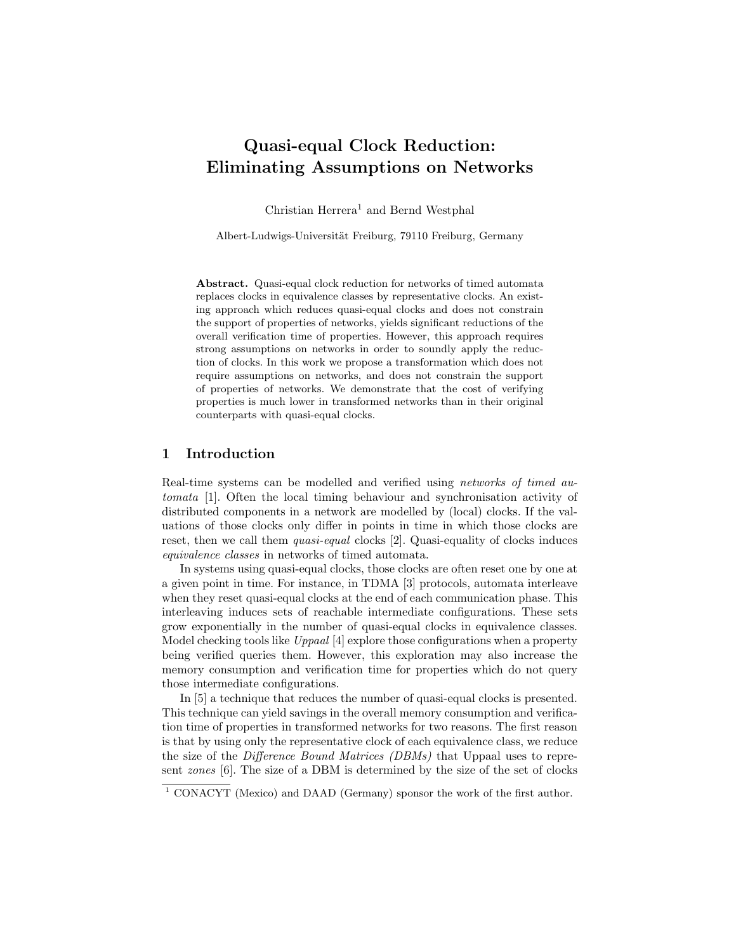# Quasi-equal Clock Reduction: Eliminating Assumptions on Networks

Christian Herrera<sup>1</sup> and Bernd Westphal

Albert-Ludwigs-Universität Freiburg, 79110 Freiburg, Germany

Abstract. Quasi-equal clock reduction for networks of timed automata replaces clocks in equivalence classes by representative clocks. An existing approach which reduces quasi-equal clocks and does not constrain the support of properties of networks, yields significant reductions of the overall verification time of properties. However, this approach requires strong assumptions on networks in order to soundly apply the reduction of clocks. In this work we propose a transformation which does not require assumptions on networks, and does not constrain the support of properties of networks. We demonstrate that the cost of verifying properties is much lower in transformed networks than in their original counterparts with quasi-equal clocks.

### 1 Introduction

Real-time systems can be modelled and verified using networks of timed automata [1]. Often the local timing behaviour and synchronisation activity of distributed components in a network are modelled by (local) clocks. If the valuations of those clocks only differ in points in time in which those clocks are reset, then we call them *quasi-equal* clocks [2]. Quasi-equality of clocks induces equivalence classes in networks of timed automata.

In systems using quasi-equal clocks, those clocks are often reset one by one at a given point in time. For instance, in TDMA [3] protocols, automata interleave when they reset quasi-equal clocks at the end of each communication phase. This interleaving induces sets of reachable intermediate configurations. These sets grow exponentially in the number of quasi-equal clocks in equivalence classes. Model checking tools like Uppaal [4] explore those configurations when a property being verified queries them. However, this exploration may also increase the memory consumption and verification time for properties which do not query those intermediate configurations.

In [5] a technique that reduces the number of quasi-equal clocks is presented. This technique can yield savings in the overall memory consumption and verification time of properties in transformed networks for two reasons. The first reason is that by using only the representative clock of each equivalence class, we reduce the size of the Difference Bound Matrices (DBMs) that Uppaal uses to represent zones [6]. The size of a DBM is determined by the size of the set of clocks

<sup>&</sup>lt;sup>1</sup> CONACYT (Mexico) and DAAD (Germany) sponsor the work of the first author.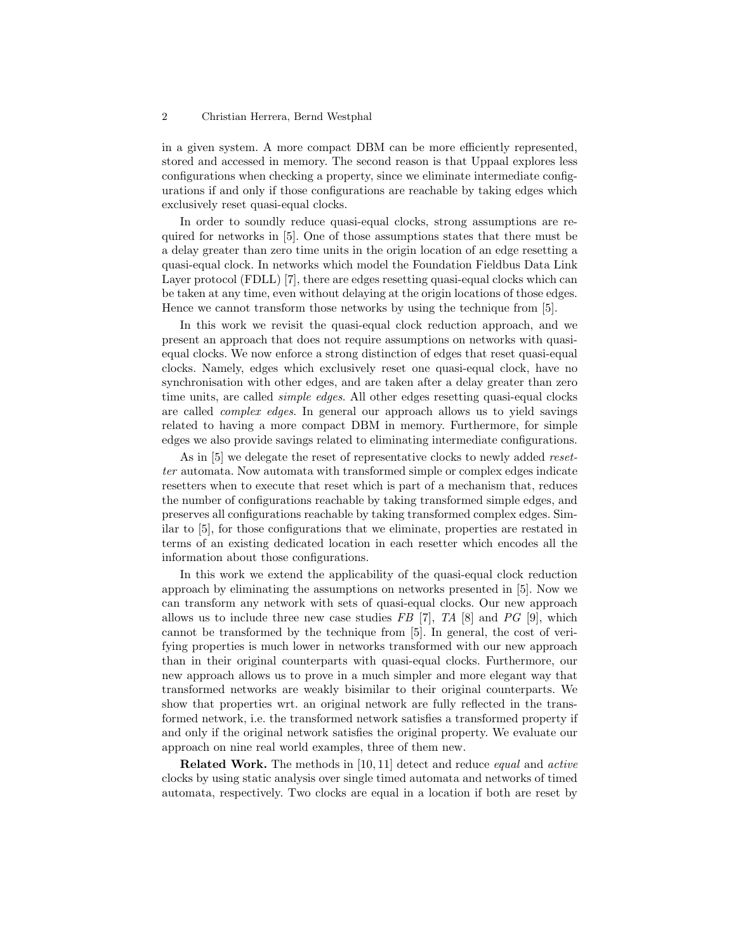in a given system. A more compact DBM can be more efficiently represented, stored and accessed in memory. The second reason is that Uppaal explores less configurations when checking a property, since we eliminate intermediate configurations if and only if those configurations are reachable by taking edges which exclusively reset quasi-equal clocks.

In order to soundly reduce quasi-equal clocks, strong assumptions are required for networks in [5]. One of those assumptions states that there must be a delay greater than zero time units in the origin location of an edge resetting a quasi-equal clock. In networks which model the Foundation Fieldbus Data Link Layer protocol (FDLL) [7], there are edges resetting quasi-equal clocks which can be taken at any time, even without delaying at the origin locations of those edges. Hence we cannot transform those networks by using the technique from [5].

In this work we revisit the quasi-equal clock reduction approach, and we present an approach that does not require assumptions on networks with quasiequal clocks. We now enforce a strong distinction of edges that reset quasi-equal clocks. Namely, edges which exclusively reset one quasi-equal clock, have no synchronisation with other edges, and are taken after a delay greater than zero time units, are called *simple edges*. All other edges resetting quasi-equal clocks are called complex edges. In general our approach allows us to yield savings related to having a more compact DBM in memory. Furthermore, for simple edges we also provide savings related to eliminating intermediate configurations.

As in [5] we delegate the reset of representative clocks to newly added resetter automata. Now automata with transformed simple or complex edges indicate resetters when to execute that reset which is part of a mechanism that, reduces the number of configurations reachable by taking transformed simple edges, and preserves all configurations reachable by taking transformed complex edges. Similar to [5], for those configurations that we eliminate, properties are restated in terms of an existing dedicated location in each resetter which encodes all the information about those configurations.

In this work we extend the applicability of the quasi-equal clock reduction approach by eliminating the assumptions on networks presented in [5]. Now we can transform any network with sets of quasi-equal clocks. Our new approach allows us to include three new case studies FB [7], TA [8] and PG [9], which cannot be transformed by the technique from [5]. In general, the cost of verifying properties is much lower in networks transformed with our new approach than in their original counterparts with quasi-equal clocks. Furthermore, our new approach allows us to prove in a much simpler and more elegant way that transformed networks are weakly bisimilar to their original counterparts. We show that properties wrt. an original network are fully reflected in the transformed network, i.e. the transformed network satisfies a transformed property if and only if the original network satisfies the original property. We evaluate our approach on nine real world examples, three of them new.

Related Work. The methods in [10, 11] detect and reduce equal and active clocks by using static analysis over single timed automata and networks of timed automata, respectively. Two clocks are equal in a location if both are reset by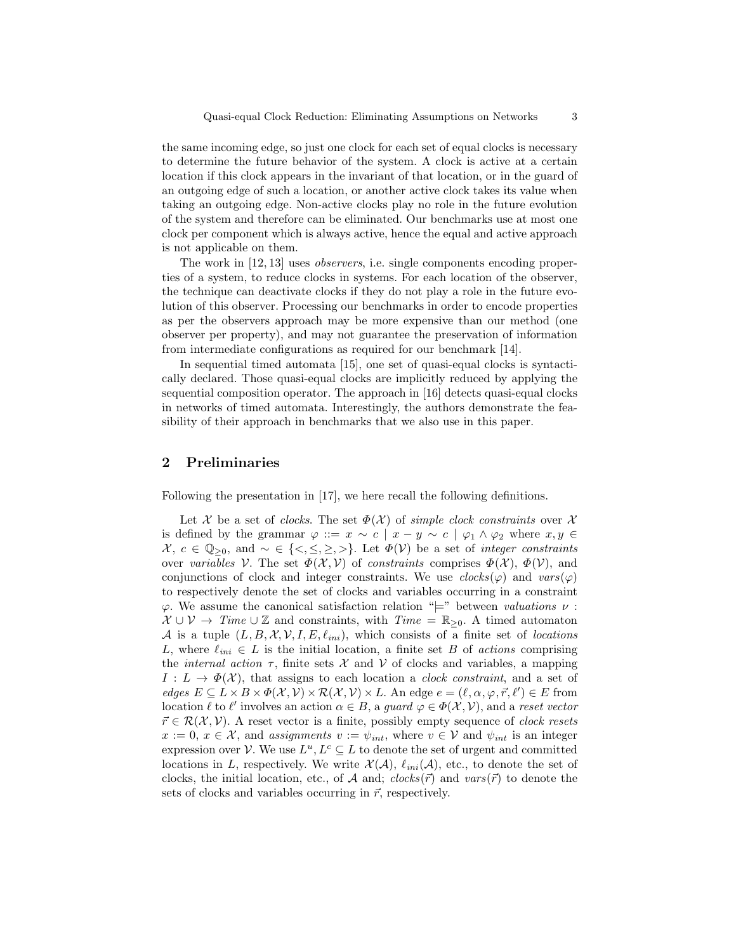the same incoming edge, so just one clock for each set of equal clocks is necessary to determine the future behavior of the system. A clock is active at a certain location if this clock appears in the invariant of that location, or in the guard of an outgoing edge of such a location, or another active clock takes its value when taking an outgoing edge. Non-active clocks play no role in the future evolution of the system and therefore can be eliminated. Our benchmarks use at most one clock per component which is always active, hence the equal and active approach is not applicable on them.

The work in [12, 13] uses observers, i.e. single components encoding properties of a system, to reduce clocks in systems. For each location of the observer, the technique can deactivate clocks if they do not play a role in the future evolution of this observer. Processing our benchmarks in order to encode properties as per the observers approach may be more expensive than our method (one observer per property), and may not guarantee the preservation of information from intermediate configurations as required for our benchmark [14].

In sequential timed automata [15], one set of quasi-equal clocks is syntactically declared. Those quasi-equal clocks are implicitly reduced by applying the sequential composition operator. The approach in [16] detects quasi-equal clocks in networks of timed automata. Interestingly, the authors demonstrate the feasibility of their approach in benchmarks that we also use in this paper.

### 2 Preliminaries

Following the presentation in [17], we here recall the following definitions.

Let X be a set of clocks. The set  $\Phi(\mathcal{X})$  of simple clock constraints over X is defined by the grammar  $\varphi ::= x \sim c | x - y \sim c | \varphi_1 \wedge \varphi_2$  where  $x, y \in$  $\mathcal{X}, c \in \mathbb{Q}_{\geq 0}$ , and ~ ∈ {<, ≤, ≥, >}. Let  $\Phi(\mathcal{V})$  be a set of *integer constraints* over variables V. The set  $\Phi(\mathcal{X}, V)$  of constraints comprises  $\Phi(\mathcal{X}), \Phi(V)$ , and conjunctions of clock and integer constraints. We use  $clocks(\varphi)$  and  $vars(\varphi)$ to respectively denote the set of clocks and variables occurring in a constraint  $\varphi$ . We assume the canonical satisfaction relation " $\models$ " between valuations  $\nu$ :  $\mathcal{X} \cup \mathcal{V} \to \text{Time} \cup \mathbb{Z}$  and constraints, with  $\text{Time} = \mathbb{R}_{\geq 0}$ . A timed automaton A is a tuple  $(L, B, \mathcal{X}, \mathcal{V}, I, E, \ell_{ini})$ , which consists of a finite set of locations L, where  $\ell_{ini} \in L$  is the initial location, a finite set B of actions comprising the *internal action*  $\tau$ , finite sets X and V of clocks and variables, a mapping  $I: L \to \Phi(\mathcal{X})$ , that assigns to each location a *clock constraint*, and a set of edges  $E \subseteq L \times B \times \Phi(\mathcal{X}, \mathcal{V}) \times \mathcal{R}(\mathcal{X}, \mathcal{V}) \times L$ . An edge  $e = (\ell, \alpha, \varphi, \vec{r}, \ell') \in E$  from location  $\ell$  to  $\ell'$  involves an action  $\alpha \in B$ , a guard  $\varphi \in \Phi(\mathcal{X}, \mathcal{V})$ , and a reset vector  $\vec{r} \in \mathcal{R}(\mathcal{X}, \mathcal{V})$ . A reset vector is a finite, possibly empty sequence of *clock resets*  $x := 0, x \in \mathcal{X}$ , and assignments  $v := \psi_{int}$ , where  $v \in \mathcal{V}$  and  $\psi_{int}$  is an integer expression over V. We use  $L^u, L^c \subseteq L$  to denote the set of urgent and committed locations in L, respectively. We write  $\mathcal{X}(\mathcal{A})$ ,  $\ell_{ini}(\mathcal{A})$ , etc., to denote the set of clocks, the initial location, etc., of A and; clocks( $\vec{r}$ ) and vars( $\vec{r}$ ) to denote the sets of clocks and variables occurring in  $\vec{r}$ , respectively.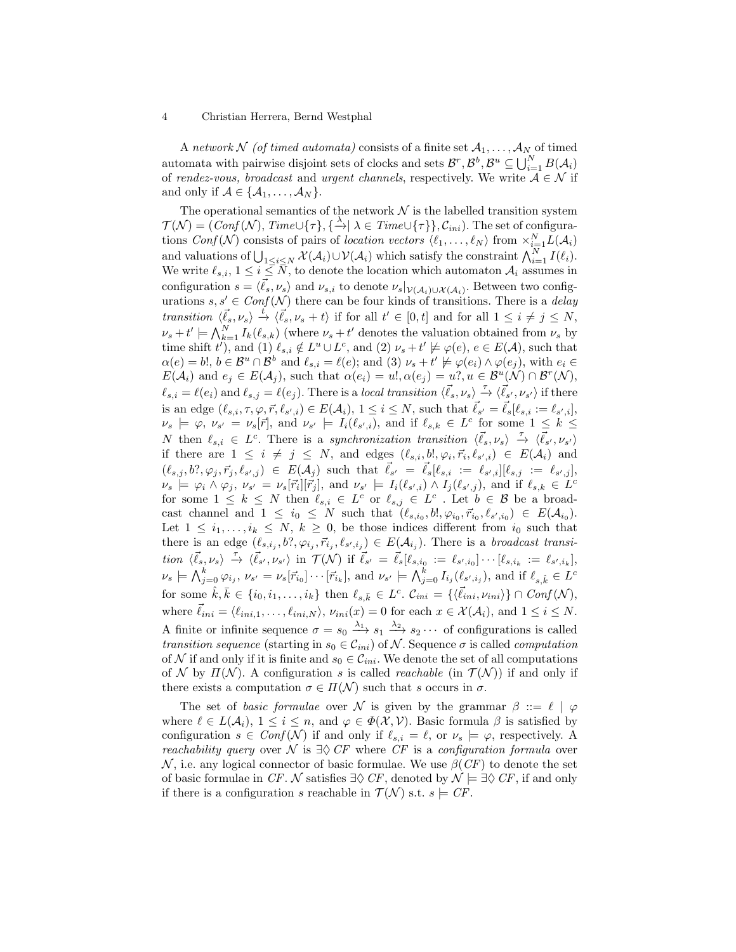A network N (of timed automata) consists of a finite set  $A_1, \ldots, A_N$  of timed automata with pairwise disjoint sets of clocks and sets  $\mathcal{B}^r, \mathcal{B}^b, \mathcal{B}^u \subseteq \bigcup_{i=1}^N B(\mathcal{A}_i)$ of rendez-vous, broadcast and urgent channels, respectively. We write  $A \in \mathcal{N}$  if and only if  $A \in \{A_1, \ldots, A_N\}$ .

The operational semantics of the network  $N$  is the labelled transition system  $\mathcal{T}(\mathcal{N}) = \overline{(Conf(\mathcal{N}), Time \cup \{\tau\}, \{\stackrel{\lambda}{\rightarrow} | \lambda \in Time \cup \{\tau\}\}, C_{ini})}.$  The set of configurations Conf(N) consists of pairs of location vectors  $\langle \ell_1, \ldots, \ell_N \rangle$  from  $\times_{i=1}^N L(\mathcal{A}_i)$ and valuations of  $\bigcup_{1 \leq i \leq N} \mathcal{X}(\mathcal{A}_i) \cup \mathcal{V}(\mathcal{A}_i)$  which satisfy the constraint  $\bigwedge_{i=1}^N I(\ell_i)$ . We write  $\ell_{s,i}$ ,  $1 \leq i \leq N$ , to denote the location which automaton  $\mathcal{A}_i$  assumes in configuration  $s = \langle \vec{\ell}_s, \nu_s \rangle$  and  $\nu_{s,i}$  to denote  $\nu_s|_{\mathcal{V}(\mathcal{A}_i) \cup \mathcal{X}(\mathcal{A}_i)}$ . Between two configurations  $s, s' \in Conf(\mathcal{N})$  there can be four kinds of transitions. There is a *delay* transition  $\langle \vec{\ell}_s, \nu_s \rangle \stackrel{t}{\rightarrow} \langle \vec{\ell}_s, \nu_s + t \rangle$  if for all  $t' \in [0, t]$  and for all  $1 \leq i \neq j \leq N$ ,  $\nu_s + t' \models \bigwedge_{k=1}^N I_k(\ell_{s,k})$  (where  $\nu_s + t'$  denotes the valuation obtained from  $\nu_s$  by time shift t''), and (1)  $\ell_{s,i} \notin L^u \cup L^c$ , and (2)  $\nu_s + t' \not\models \varphi(e), e \in E(\mathcal{A})$ , such that  $\alpha(e) = b!$ ,  $b \in \mathcal{B}^u \cap \mathcal{B}^b$  and  $\ell_{s,i} = \ell(e)$ ; and (3)  $\nu_s + t' \not\models \varphi(e_i) \wedge \varphi(e_j)$ , with  $e_i \in$  $E(\mathcal{A}_i)$  and  $e_j \in E(\mathcal{A}_j)$ , such that  $\alpha(e_i) = u!$ ,  $\alpha(e_j) = u$ ?,  $u \in \mathcal{B}^u(\mathcal{N}) \cap \mathcal{B}^r(\mathcal{N})$ ,  $\ell_{s,i} = \ell(e_i)$  and  $\ell_{s,j} = \ell(e_j)$ . There is a local transition  $\langle \vec{\ell_s}, \nu_s \rangle \stackrel{\tau}{\rightarrow} \langle \vec{\ell_{s'}}, \nu_{s'} \rangle$  if there is an edge  $(\ell_{s,i}, \tau, \varphi, \vec{r}, \ell_{s',i}) \in E(\mathcal{A}_i), 1 \leq i \leq N$ , such that  $\vec{\ell}_{s'} = \vec{\ell}_s[\ell_{s,i} := \ell_{s',i}],$  $\nu_s \models \varphi, \nu_{s'} = \nu_s[\vec{r}],$  and  $\nu_{s'} \models I_i(\ell_{s',i}),$  and if  $\ell_{s,k} \in L^c$  for some  $1 \leq k \leq$ N then  $\ell_{s,i} \in L^c$ . There is a synchronization transition  $\langle \vec{\ell}_s, \nu_s \rangle \stackrel{\tau}{\rightarrow} \langle \vec{\ell}_{s'}, \nu_{s'} \rangle$ if there are  $1 \leq i \neq j \leq N$ , and edges  $(\ell_{s,i},b!,\varphi_i,\vec{r}_i,\ell_{s',i}) \in E(\mathcal{A}_i)$  and  $(\ell_{s,j}, b?, \varphi_j, \vec{r}_j, \ell_{s',j}) \in E(\mathcal{A}_j)$  such that  $\vec{\ell}_{s'} = \vec{\ell}_s[\ell_{s,i} := \ell_{s',i}][\ell_{s,j} := \ell_{s',j}],$  $\nu_s \models \varphi_i \land \varphi_j, \nu_{s'} = \nu_s[\vec{r}_i][\vec{r}_j], \text{ and } \nu_{s'} \models I_i(\ell_{s',i}) \land I_j(\ell_{s',j}), \text{ and if } \ell_{s,k} \in L^c$ for some  $1 \leq k \leq N$  then  $\ell_{s,i} \in L^c$  or  $\ell_{s,j} \in L^c$ . Let  $b \in \mathcal{B}$  be a broadcast channel and  $1 \leq i_0 \leq N$  such that  $(\ell_{s,i_0}, b!, \varphi_{i_0}, \vec{r}_{i_0}, \ell_{s',i_0}) \in E(\mathcal{A}_{i_0}).$ Let  $1 \leq i_1, \ldots, i_k \leq N, k \geq 0$ , be those indices different from  $i_0$  such that there is an edge  $(\ell_{s,i_j}, b?$ ,  $\varphi_{i_j}, \vec{r}_{i_j}, \ell_{s',i_j}) \in E(\mathcal{A}_{i_j})$ . There is a broadcast transi- $\text{tion } \langle \vec{\ell_s}, \nu_s \rangle \stackrel{\tau}{\rightarrow} \langle \vec{\ell_{s'}}, \nu_{s'} \rangle \text{ in } \mathcal{T}(\mathcal{N}) \text{ if } \vec{\ell_{s'}} = \vec{\ell_s}[\ell_{s,i_0} := \ell_{s',i_0}] \cdots [\ell_{s,i_k} := \ell_{s',i_k}],$  $\nu_s \models \bigwedge_{j=0}^k \varphi_{i_j}, \, \nu_{s'} = \nu_s[\vec{r}_{i_0}] \cdots [\vec{r}_{i_k}],$  and  $\nu_{s'} \models \bigwedge_{j=0}^k I_{i_j}(\ell_{s',i_j})$ , and if  $\ell_{s,\hat{k}} \in L^c$ for some  $\hat{k}, \bar{k} \in \{i_0, i_1, \ldots, i_k\}$  then  $\ell_{s,\bar{k}} \in L^c$ .  $\mathcal{C}_{ini} = {\{\langle \vec{\ell}_{ini}, \nu_{ini}\rangle\}} \cap Conf(N)$ , where  $\ell_{ini} = \langle \ell_{ini,1}, \ldots, \ell_{ini,N} \rangle$ ,  $\nu_{ini}(x) = 0$  for each  $x \in \mathcal{X}(\mathcal{A}_i)$ , and  $1 \leq i \leq N$ . A finite or infinite sequence  $\sigma = s_0 \xrightarrow{\lambda_1} s_1 \xrightarrow{\lambda_2} s_2 \cdots$  of configurations is called transition sequence (starting in  $s_0 \in \mathcal{C}_{ini}$ ) of N. Sequence  $\sigma$  is called *computation* of N if and only if it is finite and  $s_0 \in \mathcal{C}_{ini}$ . We denote the set of all computations of N by  $\Pi(N)$ . A configuration s is called *reachable* (in  $\mathcal{T}(\mathcal{N})$ ) if and only if there exists a computation  $\sigma \in \Pi(\mathcal{N})$  such that s occurs in  $\sigma$ .

The set of basic formulae over N is given by the grammar  $\beta := \ell \mid \varphi$ where  $\ell \in L(\mathcal{A}_i)$ ,  $1 \leq i \leq n$ , and  $\varphi \in \Phi(\mathcal{X}, \mathcal{V})$ . Basic formula  $\beta$  is satisfied by configuration  $s \in Conf(\mathcal{N})$  if and only if  $\ell_{s,i} = \ell$ , or  $\nu_s \models \varphi$ , respectively. A reachability query over N is  $\exists \Diamond C F$  where CF is a configuration formula over  $\mathcal{N}$ , i.e. any logical connector of basic formulae. We use  $\beta(CF)$  to denote the set of basic formulae in CF. N satisfies  $\exists \Diamond C F$ , denoted by  $\mathcal{N} \models \exists \Diamond C F$ , if and only if there is a configuration s reachable in  $\mathcal{T}(\mathcal{N})$  s.t.  $s \models \mathit{CF}$ .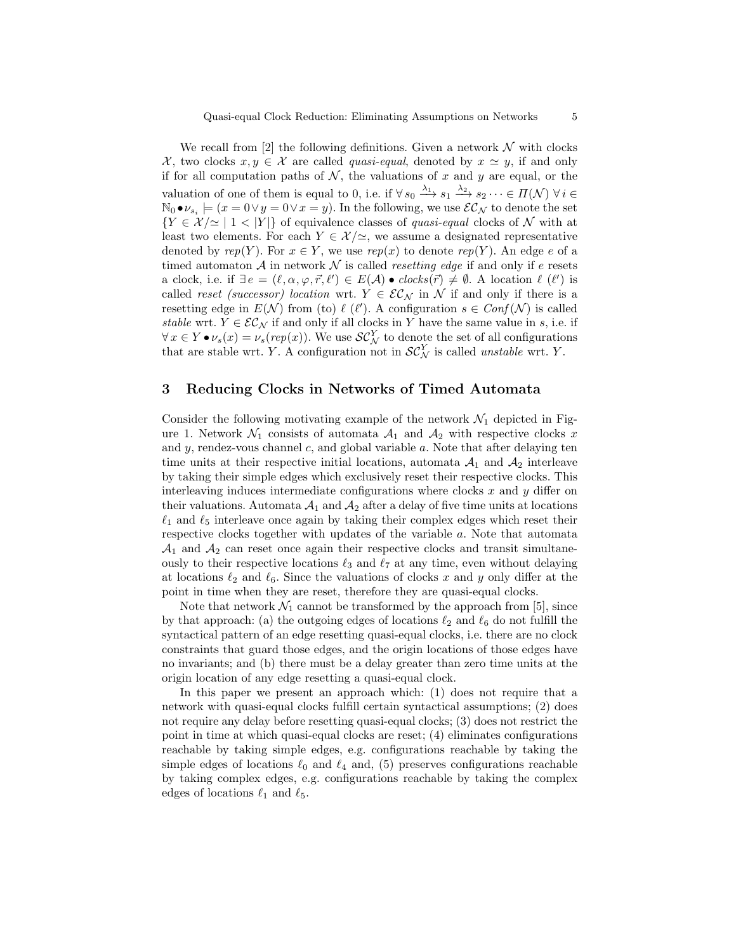We recall from [2] the following definitions. Given a network  $\mathcal N$  with clocks X, two clocks  $x, y \in \mathcal{X}$  are called *quasi-equal*, denoted by  $x \simeq y$ , if and only if for all computation paths of  $N$ , the valuations of x and y are equal, or the valuation of one of them is equal to 0, i.e. if  $\forall s_0 \xrightarrow{\lambda_1} s_1 \xrightarrow{\lambda_2} s_2 \cdots \in \Pi(\mathcal{N}) \ \forall i \in$  $\mathbb{N}_0 \bullet \nu_{s_i} \models (x = 0 \lor y = 0 \lor x = y).$  In the following, we use  $\mathcal{EC}_\mathcal{N}$  to denote the set  ${Y \in \mathcal{X}/\simeq |1 \lt |Y|}$  of equivalence classes of *quasi-equal* clocks of N with at least two elements. For each  $Y \in \mathcal{X}/\simeq$ , we assume a designated representative denoted by  $rep(Y)$ . For  $x \in Y$ , we use  $rep(x)$  to denote  $rep(Y)$ . An edge e of a timed automaton A in network  $\mathcal N$  is called *resetting edge* if and only if e resets a clock, i.e. if  $\exists e = (\ell, \alpha, \varphi, \vec{r}, \ell') \in E(\mathcal{A}) \bullet \text{ clocks}(\vec{r}) \neq \emptyset$ . A location  $\ell(\ell')$  is called reset (successor) location wrt.  $Y \in \mathcal{EC}_\mathcal{N}$  in N if and only if there is a resetting edge in  $E(\mathcal{N})$  from (to)  $\ell$  ( $\ell'$ ). A configuration  $s \in Conf(\mathcal{N})$  is called stable wrt.  $Y \in \mathcal{EC}_\mathcal{N}$  if and only if all clocks in Y have the same value in s, i.e. if  $\forall x \in Y \bullet \nu_s(x) = \nu_s(rep(x)).$  We use  $\mathcal{SC}_\mathcal{N}^Y$  to denote the set of all configurations that are stable wrt. Y. A configuration not in  $\mathcal{SC}_\mathcal{N}^Y$  is called unstable wrt. Y.

### 3 Reducing Clocks in Networks of Timed Automata

Consider the following motivating example of the network  $\mathcal{N}_1$  depicted in Figure 1. Network  $\mathcal{N}_1$  consists of automata  $\mathcal{A}_1$  and  $\mathcal{A}_2$  with respective clocks x and  $y$ , rendez-vous channel  $c$ , and global variable  $a$ . Note that after delaying ten time units at their respective initial locations, automata  $A_1$  and  $A_2$  interleave by taking their simple edges which exclusively reset their respective clocks. This interleaving induces intermediate configurations where clocks  $x$  and  $y$  differ on their valuations. Automata  $A_1$  and  $A_2$  after a delay of five time units at locations  $\ell_1$  and  $\ell_5$  interleave once again by taking their complex edges which reset their respective clocks together with updates of the variable a. Note that automata  $A_1$  and  $A_2$  can reset once again their respective clocks and transit simultaneously to their respective locations  $\ell_3$  and  $\ell_7$  at any time, even without delaying at locations  $\ell_2$  and  $\ell_6$ . Since the valuations of clocks x and y only differ at the point in time when they are reset, therefore they are quasi-equal clocks.

Note that network  $\mathcal{N}_1$  cannot be transformed by the approach from [5], since by that approach: (a) the outgoing edges of locations  $\ell_2$  and  $\ell_6$  do not fulfill the syntactical pattern of an edge resetting quasi-equal clocks, i.e. there are no clock constraints that guard those edges, and the origin locations of those edges have no invariants; and (b) there must be a delay greater than zero time units at the origin location of any edge resetting a quasi-equal clock.

In this paper we present an approach which: (1) does not require that a network with quasi-equal clocks fulfill certain syntactical assumptions; (2) does not require any delay before resetting quasi-equal clocks; (3) does not restrict the point in time at which quasi-equal clocks are reset; (4) eliminates configurations reachable by taking simple edges, e.g. configurations reachable by taking the simple edges of locations  $\ell_0$  and  $\ell_4$  and, (5) preserves configurations reachable by taking complex edges, e.g. configurations reachable by taking the complex edges of locations  $\ell_1$  and  $\ell_5$ .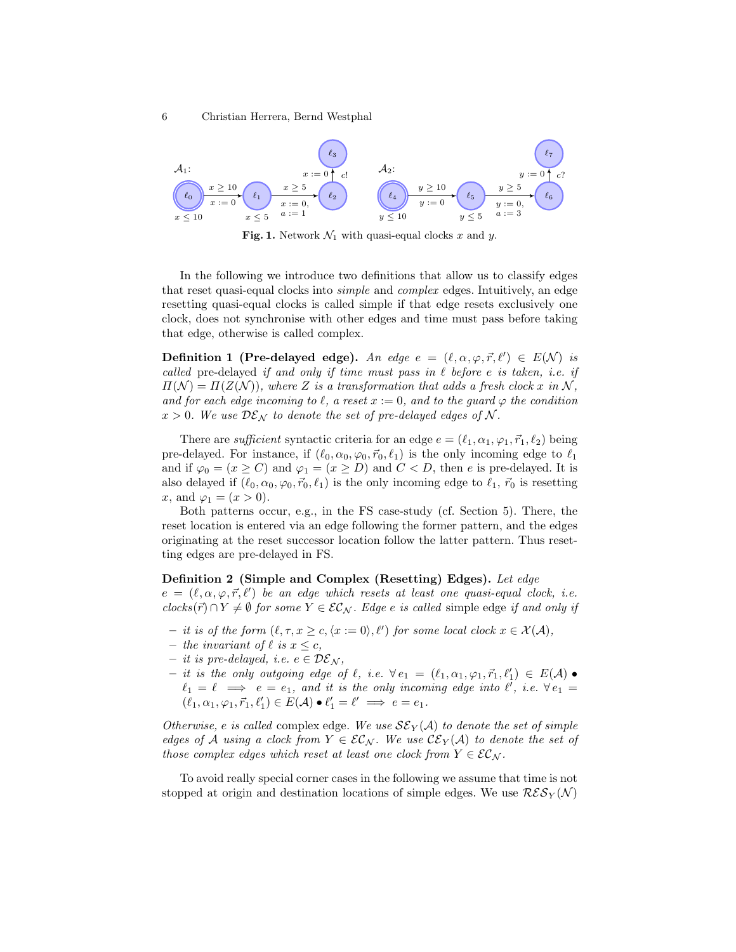

**Fig. 1.** Network  $\mathcal{N}_1$  with quasi-equal clocks x and y.

In the following we introduce two definitions that allow us to classify edges that reset quasi-equal clocks into simple and complex edges. Intuitively, an edge resetting quasi-equal clocks is called simple if that edge resets exclusively one clock, does not synchronise with other edges and time must pass before taking that edge, otherwise is called complex.

Definition 1 (Pre-delayed edge). An edge  $e = (\ell, \alpha, \varphi, \vec{r}, \ell') \in E(\mathcal{N})$  is called pre-delayed if and only if time must pass in  $\ell$  before e is taken, i.e. if  $\Pi(N) = \Pi(Z(N))$ , where Z is a transformation that adds a fresh clock x in N, and for each edge incoming to  $\ell$ , a reset  $x := 0$ , and to the guard  $\varphi$  the condition  $x > 0$ . We use  $D \mathcal{E}_{N}$  to denote the set of pre-delayed edges of N.

There are *sufficient* syntactic criteria for an edge  $e = (\ell_1, \alpha_1, \varphi_1, \vec{r}_1, \ell_2)$  being pre-delayed. For instance, if  $(\ell_0, \alpha_0, \varphi_0, \vec{r}_0, \ell_1)$  is the only incoming edge to  $\ell_1$ and if  $\varphi_0 = (x \ge C)$  and  $\varphi_1 = (x \ge D)$  and  $C < D$ , then e is pre-delayed. It is also delayed if  $(\ell_0, \alpha_0, \varphi_0, \vec{r}_0, \ell_1)$  is the only incoming edge to  $\ell_1, \vec{r}_0$  is resetting x, and  $\varphi_1 = (x > 0)$ .

Both patterns occur, e.g., in the FS case-study (cf. Section 5). There, the reset location is entered via an edge following the former pattern, and the edges originating at the reset successor location follow the latter pattern. Thus resetting edges are pre-delayed in FS.

# Definition 2 (Simple and Complex (Resetting) Edges). Let edge  $e = (\ell, \alpha, \varphi, \vec{r}, \ell')$  be an edge which resets at least one quasi-equal clock, i.e.  $clocks(\vec{r}) \cap Y \neq \emptyset$  for some  $Y \in \mathcal{EC}_N$ . Edge e is called simple edge if and only if

- $-$  it is of the form  $(\ell, \tau, x \geq c, \langle x := 0 \rangle, \ell')$  for some local clock  $x \in \mathcal{X}(A)$ ,
- the invariant of  $\ell$  is  $x \leq c$ ,
- $− it is pre-delayed, i.e. e ∈ D<sub>K</sub>,$
- $-$  it is the only outgoing edge of  $\ell$ , i.e.  $\forall e_1 = (\ell_1, \alpha_1, \varphi_1, \vec{r}_1, \ell'_1) \in E(\mathcal{A})$   $\ell_1 = \ell \implies e = e_1$ , and it is the only incoming edge into  $\ell'$ , i.e.  $\forall e_1 =$  $(\ell_1, \alpha_1, \varphi_1, \vec{r}_1, \ell'_1) \in E(\mathcal{A}) \bullet \ell'_1 = \ell' \implies e = e_1.$

Otherwise, e is called complex edge. We use  $\mathcal{SE}_Y(\mathcal{A})$  to denote the set of simple edges of A using a clock from  $Y \in \mathcal{EC}_\mathcal{N}$ . We use  $\mathcal{CE}_Y(\mathcal{A})$  to denote the set of those complex edges which reset at least one clock from  $Y \in \mathcal{EC}_N$ .

To avoid really special corner cases in the following we assume that time is not stopped at origin and destination locations of simple edges. We use  $\mathcal{RES}_{Y}(\mathcal{N})$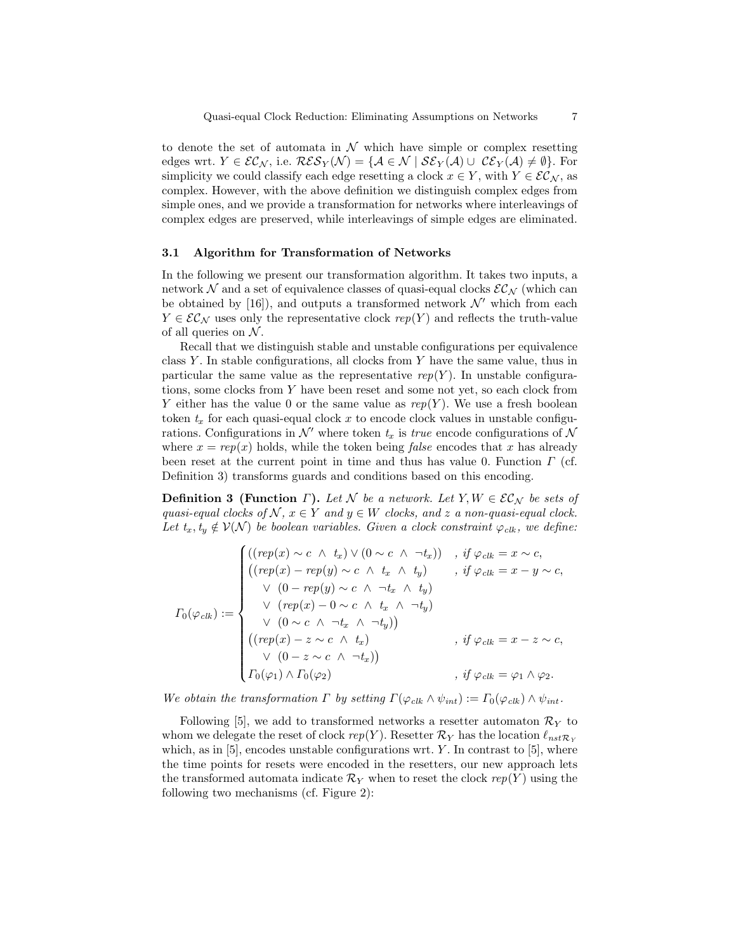to denote the set of automata in  $\mathcal N$  which have simple or complex resetting edges wrt.  $Y \in \mathcal{EC}_\mathcal{N}$ , i.e.  $\mathcal{RES}_Y(\mathcal{N}) = \{ \mathcal{A} \in \mathcal{N} \mid \mathcal{SE}_Y(\mathcal{A}) \cup \mathcal{CE}_Y(\mathcal{A}) \neq \emptyset \}$ . For simplicity we could classify each edge resetting a clock  $x \in Y$ , with  $Y \in \mathcal{EC}_N$ , as complex. However, with the above definition we distinguish complex edges from simple ones, and we provide a transformation for networks where interleavings of complex edges are preserved, while interleavings of simple edges are eliminated.

### 3.1 Algorithm for Transformation of Networks

In the following we present our transformation algorithm. It takes two inputs, a network  $\mathcal N$  and a set of equivalence classes of quasi-equal clocks  $\mathcal{EC}_{\mathcal N}$  (which can be obtained by [16]), and outputs a transformed network  $\mathcal{N}'$  which from each  $Y \in \mathcal{EC}_\mathcal{N}$  uses only the representative clock  $rep(Y)$  and reflects the truth-value of all queries on  $\mathcal N$ .

Recall that we distinguish stable and unstable configurations per equivalence class Y . In stable configurations, all clocks from Y have the same value, thus in particular the same value as the representative  $rep(Y)$ . In unstable configurations, some clocks from Y have been reset and some not yet, so each clock from Y either has the value 0 or the same value as  $rep(Y)$ . We use a fresh boolean token  $t<sub>x</sub>$  for each quasi-equal clock x to encode clock values in unstable configurations. Configurations in  $\mathcal{N}'$  where token  $t_x$  is *true* encode configurations of  $\mathcal N$ where  $x = rep(x)$  holds, while the token being *false* encodes that x has already been reset at the current point in time and thus has value 0. Function  $\Gamma$  (cf. Definition 3) transforms guards and conditions based on this encoding.

**Definition 3 (Function**  $\Gamma$ ). Let  $\mathcal{N}$  be a network. Let  $Y, W \in \mathcal{EC}_\mathcal{N}$  be sets of quasi-equal clocks of  $N$ ,  $x \in Y$  and  $y \in W$  clocks, and z a non-quasi-equal clock. Let  $t_x, t_y \notin V(\mathcal{N})$  be boolean variables. Given a clock constraint  $\varphi_{\text{clk}}$ , we define:

$$
F_0(\varphi_{\text{clk}}) := \begin{cases} ((rep(x) \sim c \land t_x) \lor (0 \sim c \land \neg t_x)) & , \text{ if } \varphi_{\text{clk}} = x \sim c, \\ ((rep(x) - rep(y) \sim c \land t_x \land t_y) & , \text{ if } \varphi_{\text{clk}} = x - y \sim c, \\ \lor (0 - rep(y) \sim c \land \neg t_x \land t_y) & \\ \lor (rep(x) - 0 \sim c \land t_x \land \neg t_y) & \\ \lor (0 \sim c \land \neg t_x \land \neg t_y)) & , \text{ if } \varphi_{\text{clk}} = x - z \sim c, \\ (\neg p(x) - z \sim c \land t_x) & , \text{ if } \varphi_{\text{clk}} = x - z \sim c, \\ \lor (0 - z \sim c \land \neg t_x)) & , \text{ if } \varphi_{\text{clk}} = \varphi_1 \land \varphi_2. \end{cases}
$$

We obtain the transformation  $\Gamma$  by setting  $\Gamma(\varphi_{\text{clk}} \wedge \psi_{\text{int}}) := \Gamma_0(\varphi_{\text{clk}}) \wedge \psi_{\text{int}}$ .

Following [5], we add to transformed networks a resetter automaton  $\mathcal{R}_Y$  to whom we delegate the reset of clock  $rep(Y)$ . Resetter  $\mathcal{R}_Y$  has the location  $\ell_{nstR_Y}$ which, as in  $[5]$ , encodes unstable configurations wrt. Y. In contrast to  $[5]$ , where the time points for resets were encoded in the resetters, our new approach lets the transformed automata indicate  $\mathcal{R}_Y$  when to reset the clock rep(Y) using the following two mechanisms (cf. Figure 2):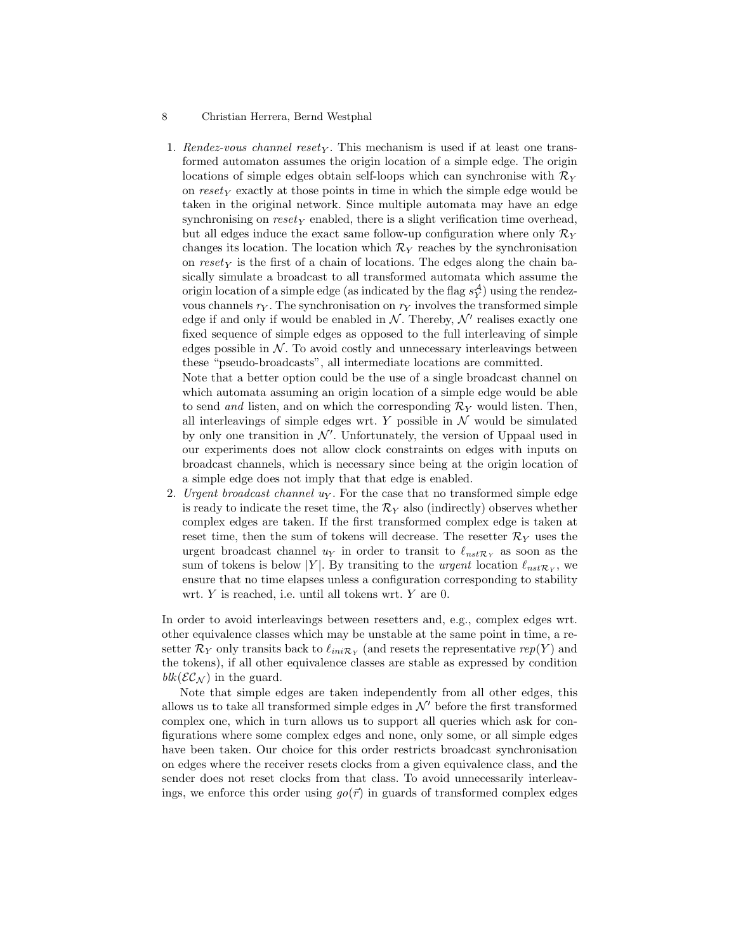- 8 Christian Herrera, Bernd Westphal
- 1. Rendez-vous channel resety. This mechanism is used if at least one transformed automaton assumes the origin location of a simple edge. The origin locations of simple edges obtain self-loops which can synchronise with  $\mathcal{R}_Y$ on  $reset<sub>Y</sub>$  exactly at those points in time in which the simple edge would be taken in the original network. Since multiple automata may have an edge synchronising on  $reset<sub>Y</sub>$  enabled, there is a slight verification time overhead, but all edges induce the exact same follow-up configuration where only  $\mathcal{R}_Y$ changes its location. The location which  $\mathcal{R}_Y$  reaches by the synchronisation on  $reset_Y$  is the first of a chain of locations. The edges along the chain basically simulate a broadcast to all transformed automata which assume the origin location of a simple edge (as indicated by the flag  $s_Y^{\mathcal{A}}$ ) using the rendezvous channels  $r_Y$ . The synchronisation on  $r_Y$  involves the transformed simple edge if and only if would be enabled in  $N$ . Thereby,  $N'$  realises exactly one fixed sequence of simple edges as opposed to the full interleaving of simple edges possible in  $\mathcal N$ . To avoid costly and unnecessary interleavings between these "pseudo-broadcasts", all intermediate locations are committed.

Note that a better option could be the use of a single broadcast channel on which automata assuming an origin location of a simple edge would be able to send and listen, and on which the corresponding  $\mathcal{R}_Y$  would listen. Then, all interleavings of simple edges wrt. Y possible in  $N$  would be simulated by only one transition in  $\mathcal{N}'$ . Unfortunately, the version of Uppaal used in our experiments does not allow clock constraints on edges with inputs on broadcast channels, which is necessary since being at the origin location of a simple edge does not imply that that edge is enabled.

2. Urgent broadcast channel  $u_Y$ . For the case that no transformed simple edge is ready to indicate the reset time, the  $\mathcal{R}_Y$  also (indirectly) observes whether complex edges are taken. If the first transformed complex edge is taken at reset time, then the sum of tokens will decrease. The resetter  $\mathcal{R}_Y$  uses the urgent broadcast channel  $u_Y$  in order to transit to  $\ell_{nstR_Y}$  as soon as the sum of tokens is below |Y|. By transiting to the *urgent* location  $\ell_{nstR_Y}$ , we ensure that no time elapses unless a configuration corresponding to stability wrt. Y is reached, i.e. until all tokens wrt. Y are 0.

In order to avoid interleavings between resetters and, e.g., complex edges wrt. other equivalence classes which may be unstable at the same point in time, a resetter  $\mathcal{R}_Y$  only transits back to  $\ell_{ini\mathcal{R}_Y}$  (and resets the representative  $rep(Y)$  and the tokens), if all other equivalence classes are stable as expressed by condition  $blk(\mathcal{EC}_{\mathcal{N}})$  in the guard.

Note that simple edges are taken independently from all other edges, this allows us to take all transformed simple edges in  $\mathcal{N}'$  before the first transformed complex one, which in turn allows us to support all queries which ask for configurations where some complex edges and none, only some, or all simple edges have been taken. Our choice for this order restricts broadcast synchronisation on edges where the receiver resets clocks from a given equivalence class, and the sender does not reset clocks from that class. To avoid unnecessarily interleavings, we enforce this order using  $g \circ (\vec{r})$  in guards of transformed complex edges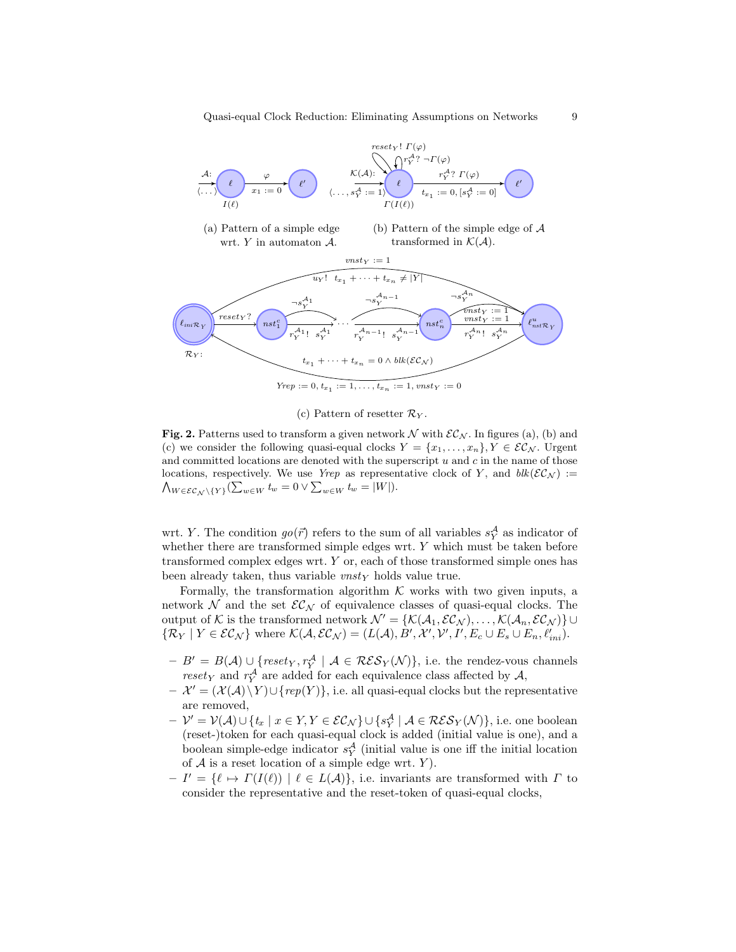

(c) Pattern of resetter  $\mathcal{R}_Y$ .

Fig. 2. Patterns used to transform a given network N with  $\mathcal{EC}_N$ . In figures (a), (b) and (c) we consider the following quasi-equal clocks  $Y = \{x_1, \ldots, x_n\}, Y \in \mathcal{EC}_N$ . Urgent and committed locations are denoted with the superscript  $u$  and  $c$  in the name of those locations, respectively. We use Yrep as representative clock of Y, and  $blk(\mathcal{EC}_\mathcal{N}) :=$  $\bigwedge_{W \in \mathcal{EC}_{\mathcal{N}} \setminus \{Y\}} (\sum_{w \in W} t_w = 0 \vee \sum_{w \in W} t_w = |W|).$ 

wrt. Y. The condition  $go(\vec{r})$  refers to the sum of all variables  $s_Y^{\mathcal{A}}$  as indicator of whether there are transformed simple edges wrt. Y which must be taken before transformed complex edges wrt. Y or, each of those transformed simple ones has been already taken, thus variable  $v n s t<sub>Y</sub>$  holds value true.

Formally, the transformation algorithm  $K$  works with two given inputs, a network N and the set  $\mathcal{EC}_{\mathcal{N}}$  of equivalence classes of quasi-equal clocks. The output of K is the transformed network  $\mathcal{N}' = \{ \mathcal{K}(A_1, \mathcal{EC}_\mathcal{N}), \ldots, \mathcal{K}(A_n, \mathcal{EC}_\mathcal{N}) \}$  $\{ \mathcal{R}_Y \mid Y \in \mathcal{EC}_\mathcal{N} \}$  where  $\mathcal{K}(\mathcal{A}, \mathcal{EC}_\mathcal{N}) = (L(\mathcal{A}), B', \mathcal{X}', \mathcal{V}', I', E_c \cup E_s \cup E_n, \ell'_{ini}).$ 

- $-B' = B(A) \cup \{reset_Y, r_Y^A \mid A \in \mathcal{RES}_Y(\mathcal{N})\},$  i.e. the rendez-vous channels *reset*<sub>Y</sub> and  $r_Y^{\mathcal{A}}$  are added for each equivalence class affected by  $\mathcal{A}$ ,
- $-\mathcal{X}' = (\mathcal{X}(\mathcal{A}) \setminus Y) \cup \{ rep(Y) \},$  i.e. all quasi-equal clocks but the representative are removed,
- $-\mathcal{V}' = \mathcal{V}(\mathcal{A}) \cup \{t_x \mid x \in Y, Y \in \mathcal{EC}_\mathcal{N}\} \cup \{s_Y^{\mathcal{A}} \mid \mathcal{A} \in \mathcal{RES}_Y(\mathcal{N})\},$  i.e. one boolean (reset-)token for each quasi-equal clock is added (initial value is one), and a boolean simple-edge indicator  $s_Y^{\mathcal{A}}$  (initial value is one iff the initial location of  $A$  is a reset location of a simple edge wrt.  $Y$ ).
- $-I' = \{ \ell \mapsto \Gamma(I(\ell)) \mid \ell \in L(\mathcal{A}) \},$  i.e. invariants are transformed with  $\Gamma$  to consider the representative and the reset-token of quasi-equal clocks,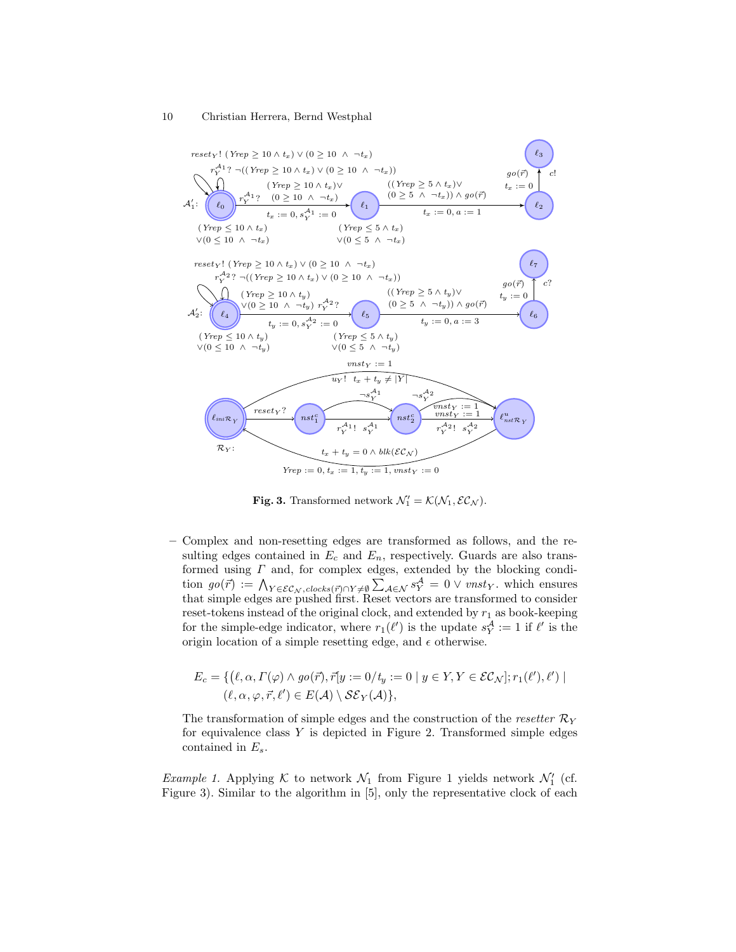

**Fig. 3.** Transformed network  $\mathcal{N}'_1 = \mathcal{K}(\mathcal{N}_1, \mathcal{EC}_\mathcal{N})$ .

– Complex and non-resetting edges are transformed as follows, and the resulting edges contained in  $E_c$  and  $E_n$ , respectively. Guards are also transformed using  $\Gamma$  and, for complex edges, extended by the blocking condition  $g \circ (\vec{r}) := \bigwedge_{Y \in \mathcal{EC}_\mathcal{N}, clocks(\vec{r}) \cap Y \neq \emptyset} \sum_{\mathcal{A} \in \mathcal{N}} s_Y^{\mathcal{A}} = 0 \vee \text{unst}_Y$ , which ensures that simple edges are pushed first. Reset vectors are transformed to consider reset-tokens instead of the original clock, and extended by  $r_1$  as book-keeping for the simple-edge indicator, where  $r_1(\ell')$  is the update  $s_Y^{\mathcal{A}} := 1$  if  $\ell'$  is the origin location of a simple resetting edge, and  $\epsilon$  otherwise.

$$
E_c = \{ (\ell, \alpha, \Gamma(\varphi) \land go(\vec{r}), \vec{r}[y := 0/t_y := 0 \mid y \in Y, Y \in \mathcal{EC}_N]; r_1(\ell'), \ell') \mid (\ell, \alpha, \varphi, \vec{r}, \ell') \in E(\mathcal{A}) \setminus \mathcal{SE}_Y(\mathcal{A}) \},
$$

The transformation of simple edges and the construction of the resetter  $\mathcal{R}_Y$ for equivalence class  $Y$  is depicted in Figure 2. Transformed simple edges contained in  $E_s$ .

*Example 1.* Applying K to network  $\mathcal{N}_1$  from Figure 1 yields network  $\mathcal{N}'_1$  (cf. Figure 3). Similar to the algorithm in [5], only the representative clock of each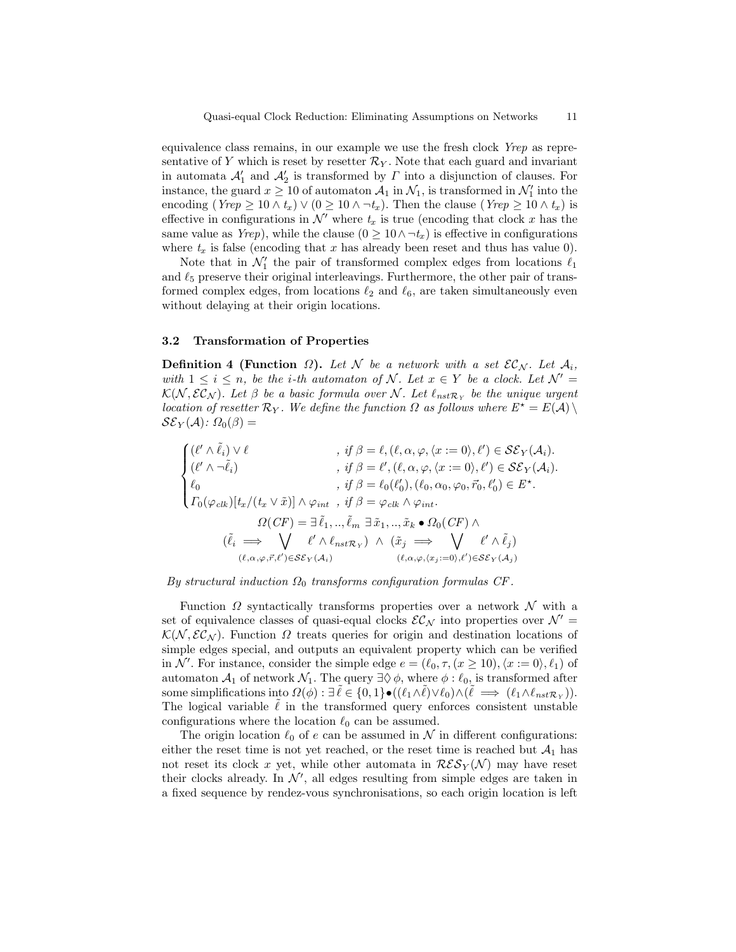equivalence class remains, in our example we use the fresh clock Yrep as representative of Y which is reset by resetter  $\mathcal{R}_Y$ . Note that each guard and invariant in automata  $\mathcal{A}'_1$  and  $\mathcal{A}'_2$  is transformed by  $\Gamma$  into a disjunction of clauses. For instance, the guard  $x \ge 10$  of automaton  $\mathcal{A}_1$  in  $\mathcal{N}_1$ , is transformed in  $\mathcal{N}'_1$  into the encoding (*Yrep*  $\geq 10 \wedge t_x$ )  $\vee$  ( $0 \geq 10 \wedge \neg t_x$ ). Then the clause (*Yrep*  $\geq 10 \wedge t_x$ ) is effective in configurations in  $\mathcal{N}'$  where  $t_x$  is true (encoding that clock x has the same value as Yrep), while the clause  $(0 \geq 10 \land \neg t_x)$  is effective in configurations where  $t_x$  is false (encoding that x has already been reset and thus has value 0).

Note that in  $\mathcal{N}'_1$  the pair of transformed complex edges from locations  $\ell_1$ and  $\ell_5$  preserve their original interleavings. Furthermore, the other pair of transformed complex edges, from locations  $\ell_2$  and  $\ell_6$ , are taken simultaneously even without delaying at their origin locations.

### 3.2 Transformation of Properties

**Definition 4 (Function**  $\Omega$ ). Let N be a network with a set  $\mathcal{EC}_N$ . Let  $\mathcal{A}_i$ , with  $1 \leq i \leq n$ , be the *i*-th automaton of N. Let  $x \in Y$  be a clock. Let  $\mathcal{N}' =$  $\mathcal{K}(\mathcal{N}, \mathcal{EC}_\mathcal{N})$ . Let  $\beta$  be a basic formula over  $\mathcal{N}$ . Let  $\ell_{nst\mathcal{R}_Y}$  be the unique urgent location of resetter  $\mathcal{R}_Y$ . We define the function  $\Omega$  as follows where  $E^* = E(\mathcal{A}) \setminus$  $\mathcal{SE}_Y(\mathcal{A})\colon \Omega_0(\beta) =$ 

$$
\begin{cases}\n(\ell' \land \tilde{\ell}_i) \lor \ell & , \text{ if } \beta = \ell, (\ell, \alpha, \varphi, \langle x := 0 \rangle, \ell') \in \mathcal{SE}_Y(\mathcal{A}_i). \\
(\ell' \land \neg \tilde{\ell}_i) & , \text{ if } \beta = \ell', (\ell, \alpha, \varphi, \langle x := 0 \rangle, \ell') \in \mathcal{SE}_Y(\mathcal{A}_i). \\
\ell_0 & , \text{ if } \beta = \ell_0(\ell'_0), (\ell_0, \alpha_0, \varphi_0, \vec{r}_0, \ell'_0) \in E^\star. \\
\Gamma_0(\varphi_{\text{clk}})[t_x/(t_x \lor \tilde{x})] \land \varphi_{\text{int}} & , \text{ if } \beta = \varphi_{\text{clk}} \land \varphi_{\text{int}}.\n\end{cases}
$$
\n
$$
\Omega(CF) = \exists \tilde{\ell}_1, ..., \tilde{\ell}_m \exists \tilde{x}_1, ..., \tilde{x}_k \bullet \Omega_0(CF) \land \quad (\tilde{\ell}_i \implies \bigvee_{(\ell, \alpha, \varphi, \tau, \ell') \in \mathcal{SE}_Y(\mathcal{A}_i)} \ell' \land \ell_{\text{nst}} \land \quad (\ell, \alpha, \varphi, \langle x := 0 \rangle, \ell') \in \mathcal{SE}_Y(\mathcal{A}_i)
$$

By structural induction  $\Omega_0$  transforms configuration formulas CF.

Function  $\Omega$  syntactically transforms properties over a network  $\mathcal N$  with a set of equivalence classes of quasi-equal clocks  $\mathcal{EC}_{\mathcal{N}}$  into properties over  $\mathcal{N}' =$  $\mathcal{K}(\mathcal{N}, \mathcal{EC}_{\mathcal{N}})$ . Function  $\Omega$  treats queries for origin and destination locations of simple edges special, and outputs an equivalent property which can be verified in N'. For instance, consider the simple edge  $e = (\ell_0, \tau, (x \ge 10), (x := 0), \ell_1)$  of automaton  $\mathcal{A}_1$  of network  $\mathcal{N}_1$ . The query  $\exists \Diamond \phi$ , where  $\phi : \ell_0$ , is transformed after some simplifications into  $\Omega(\phi)$ :  $\exists \tilde{\ell} \in \{0,1\} \bullet ((\ell_1 \wedge \tilde{\ell}) \vee \ell_0) \wedge (\tilde{\ell} \implies (\ell_1 \wedge \ell_{nst\mathcal{R}_Y})).$ The logical variable  $\ell$  in the transformed query enforces consistent unstable configurations where the location  $\ell_0$  can be assumed.

The origin location  $\ell_0$  of e can be assumed in N in different configurations: either the reset time is not yet reached, or the reset time is reached but  $\mathcal{A}_1$  has not reset its clock x yet, while other automata in  $\mathcal{RES}_{Y}(\mathcal{N})$  may have reset their clocks already. In  $\mathcal{N}'$ , all edges resulting from simple edges are taken in a fixed sequence by rendez-vous synchronisations, so each origin location is left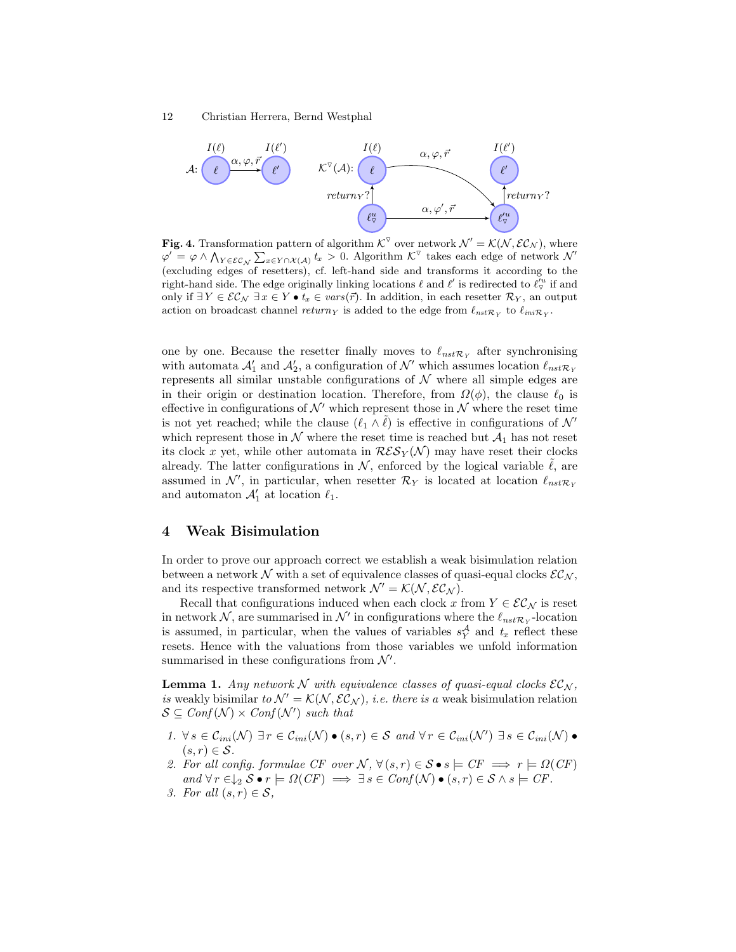### 12 Christian Herrera, Bernd Westphal



Fig. 4. Transformation pattern of algorithm  $K^{\triangledown}$  over network  $\mathcal{N}' = \mathcal{K}(\mathcal{N}, \mathcal{EC}_\mathcal{N})$ , where  $\varphi' = \varphi \wedge \bigwedge_{Y \in \mathcal{EC}_\mathcal{N}} \sum_{x \in Y \cap \mathcal{X}(\mathcal{A})} t_x > 0$ . Algorithm  $\mathcal{K}^\triangledown$  takes each edge of network  $\mathcal{N}'$ (excluding edges of resetters), cf. left-hand side and transforms it according to the right-hand side. The edge originally linking locations  $\ell$  and  $\ell'$  is redirected to  $\ell'^u_{\nabla}$  if and only if  $\exists Y \in \mathcal{EC}_\mathcal{N} \exists x \in Y \bullet t_x \in vars(\vec{r})$ . In addition, in each resetter  $\mathcal{R}_Y$ , an output action on broadcast channel  $return_Y$  is added to the edge from  $\ell_{nstR_Y}$  to  $\ell_{iniR_Y}$ .

one by one. Because the resetter finally moves to  $\ell_{nstR_Y}$  after synchronising with automata  $\mathcal{A}'_1$  and  $\mathcal{A}'_2$ , a configuration of  $\mathcal{N}'$  which assumes location  $\ell_{nst\mathcal{R}_Y}$ represents all similar unstable configurations of  $\mathcal N$  where all simple edges are in their origin or destination location. Therefore, from  $\Omega(\phi)$ , the clause  $\ell_0$  is effective in configurations of  $\mathcal{N}'$  which represent those in  $\mathcal N$  where the reset time is not yet reached; while the clause  $(\ell_1 \wedge \ell)$  is effective in configurations of N' which represent those in N where the reset time is reached but  $A_1$  has not reset its clock x yet, while other automata in  $\mathcal{RES}_{Y}(\mathcal{N})$  may have reset their clocks already. The latter configurations in  $\mathcal N$ , enforced by the logical variable  $\ell$ , are assumed in  $\mathcal{N}'$ , in particular, when resetter  $\mathcal{R}_Y$  is located at location  $\ell_{nst\mathcal{R}_Y}$ and automaton  $\mathcal{A}'_1$  at location  $\ell_1$ .

### 4 Weak Bisimulation

In order to prove our approach correct we establish a weak bisimulation relation between a network N with a set of equivalence classes of quasi-equal clocks  $\mathcal{EC}_N$ , and its respective transformed network  $\mathcal{N}' = \mathcal{K}(\mathcal{N}, \mathcal{EC}_{\mathcal{N}})$ .

Recall that configurations induced when each clock x from  $Y \in \mathcal{EC}_N$  is reset in network  $\mathcal{N}$ , are summarised in  $\mathcal{N}'$  in configurations where the  $\ell_{nst\mathcal{R}_Y}$ -location is assumed, in particular, when the values of variables  $s_Y^{\mathcal{A}}$  and  $t_x$  reflect these resets. Hence with the valuations from those variables we unfold information summarised in these configurations from  $\mathcal{N}'$ .

**Lemma 1.** Any network N with equivalence classes of quasi-equal clocks  $\mathcal{EC}_N$ , is weakly bisimilar to  $\mathcal{N}' = \mathcal{K}(\mathcal{N}, \mathcal{EC}_\mathcal{N})$ , i.e. there is a weak bisimulation relation  $S \subseteq Conf(N) \times Conf(N')$  such that

- 1.  $\forall s \in C_{ini}(\mathcal{N}) \exists r \in C_{ini}(\mathcal{N}) \bullet (s, r) \in \mathcal{S} \text{ and } \forall r \in C_{ini}(\mathcal{N}') \exists s \in C_{ini}(\mathcal{N}) \bullet$  $(s, r) \in \mathcal{S}$ .
- 2. For all config. formulae CF over  $\mathcal{N}, \forall (s, r) \in \mathcal{S} \bullet s \models \mathit{CF} \implies r \models \Omega(\mathit{CF})$ and  $\forall r \in \downarrow_2 \mathcal{S} \bullet r \models \Omega(CF) \implies \exists s \in \text{Conf}(\mathcal{N}) \bullet (s, r) \in \mathcal{S} \land s \models \text{CF}.$
- 3. For all  $(s, r) \in S$ ,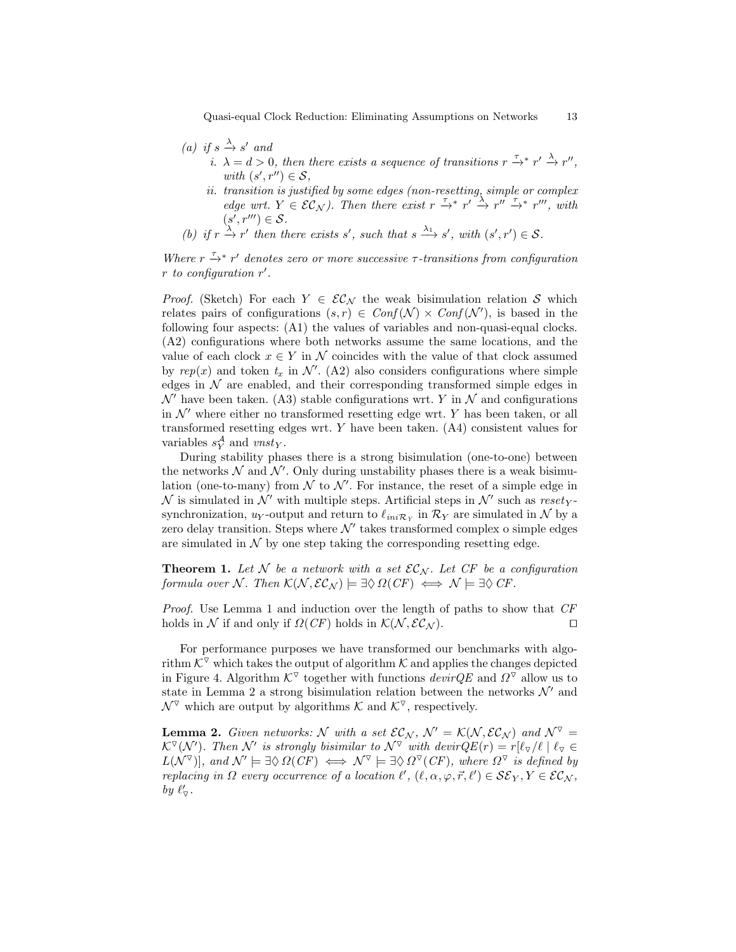Quasi-equal Clock Reduction: Eliminating Assumptions on Networks 13

- (a) if  $s \stackrel{\lambda}{\rightarrow} s'$  and i.  $\lambda = d > 0$ , then there exists a sequence of transitions  $r \stackrel{\tau}{\rightarrow} r' \stackrel{\lambda}{\rightarrow} r''$ , with  $(s', r'') \in \mathcal{S}$ ,
	- ii. transition is justified by some edges (non-resetting, simple or complex edge wrt.  $Y \in \mathcal{EC}_\mathcal{N}$ ). Then there exist  $r \stackrel{\tau}{\rightarrow} r' \stackrel{\gamma}{\rightarrow} r'' \stackrel{\tau}{\rightarrow} r'''$ , with  $(s', r''') \in S$ .
- (b) if  $r \stackrel{\lambda}{\to} r'$  then there exists s', such that  $s \stackrel{\lambda_1}{\to} s'$ , with  $(s', r') \in S$ .

Where  $r \stackrel{\tau}{\rightarrow} r'$  denotes zero or more successive  $\tau$ -transitions from configuration  $r$  to configuration  $r'$ .

*Proof.* (Sketch) For each  $Y \in \mathcal{EC}_\mathcal{N}$  the weak bisimulation relation S which relates pairs of configurations  $(s, r) \in \text{Conf}(\mathcal{N}) \times \text{Conf}(\mathcal{N}')$ , is based in the following four aspects: (A1) the values of variables and non-quasi-equal clocks. (A2) configurations where both networks assume the same locations, and the value of each clock  $x \in Y$  in  $N$  coincides with the value of that clock assumed by  $rep(x)$  and token  $t_x$  in  $\mathcal{N}'$ . (A2) also considers configurations where simple edges in  $\mathcal N$  are enabled, and their corresponding transformed simple edges in  $\mathcal{N}'$  have been taken. (A3) stable configurations wrt. Y in  $\mathcal N$  and configurations in  $\mathcal{N}'$  where either no transformed resetting edge wrt. Y has been taken, or all transformed resetting edges wrt. Y have been taken. (A4) consistent values for variables  $s_Y^{\mathcal{A}}$  and  $vnst_Y$ .

During stability phases there is a strong bisimulation (one-to-one) between the networks  $\mathcal N$  and  $\mathcal N'$ . Only during unstability phases there is a weak bisimulation (one-to-many) from  $\mathcal N$  to  $\mathcal N'$ . For instance, the reset of a simple edge in  $\mathcal N$  is simulated in  $\mathcal N'$  with multiple steps. Artificial steps in  $\mathcal N'$  such as  $reset_Y$ synchronization,  $u_Y$ -output and return to  $\ell_{ini\mathcal{R}_Y}$  in  $\mathcal{R}_Y$  are simulated in N by a zero delay transition. Steps where  $\mathcal{N}'$  takes transformed complex o simple edges are simulated in  $\mathcal N$  by one step taking the corresponding resetting edge.

**Theorem 1.** Let N be a network with a set  $\mathcal{EC}_N$ . Let CF be a configuration formula over N. Then  $\mathcal{K}(\mathcal{N}, \mathcal{EC}_\mathcal{N}) \models \exists \Diamond \Omega(CF) \iff \mathcal{N} \models \exists \Diamond CF.$ 

Proof. Use Lemma 1 and induction over the length of paths to show that CF holds in N if and only if  $\Omega(CF)$  holds in  $\mathcal{K}(\mathcal{N}, \mathcal{EC}_\mathcal{N})$ .

For performance purposes we have transformed our benchmarks with algorithm  $K^{\nabla}$  which takes the output of algorithm K and applies the changes depicted in Figure 4. Algorithm  $K^{\nabla}$  together with functions *devirQE* and  $\Omega^{\nabla}$  allow us to state in Lemma 2 a strong bisimulation relation between the networks  $\mathcal{N}'$  and  $\mathcal{N}^{\triangledown}$  which are output by algorithms  $\mathcal{K}$  and  $\mathcal{K}^{\triangledown}$ , respectively.

**Lemma 2.** Given networks: N with a set  $\mathcal{EC}_N$ ,  $\mathcal{N}' = \mathcal{K}(\mathcal{N}, \mathcal{EC}_N)$  and  $\mathcal{N}^\nabla =$  $\mathcal{K}^{\nabla}(\mathcal{N}')$ . Then  $\mathcal{N}'$  is strongly bisimilar to  $\mathcal{N}^{\nabla}$  with devir $QE(r) = r[\ell_{\nabla}/\ell | \ell_{\nabla} \in$  $L(\mathcal{N}^{\nabla})$ , and  $\mathcal{N}' \models \exists \Diamond \Omega(\mathcal{C}F) \iff \mathcal{N}^{\nabla} \models \exists \Diamond \Omega^{\nabla}(\mathcal{C}F)$ , where  $\Omega^{\nabla}$  is defined by replacing in  $\Omega$  every occurrence of a location  $\ell'$ ,  $(\ell, \alpha, \varphi, \vec{r}, \ell') \in \mathcal{SE}_Y, Y \in \mathcal{EC}_N$ , by  $\ell'_{\nabla}$ .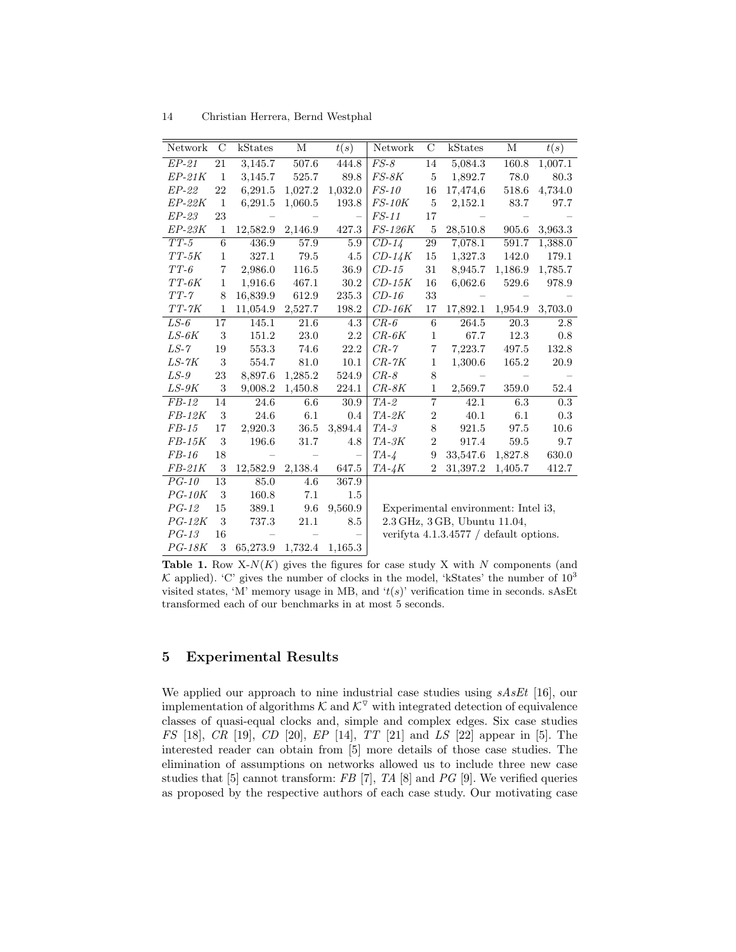| Network     | $\mathcal{C}$  | kStates  | М       | t(s)    | Network                             | C              | kStates  | $\mathbf M$ | t(s)     |
|-------------|----------------|----------|---------|---------|-------------------------------------|----------------|----------|-------------|----------|
| $EP-21$     | 21             | 3,145.7  | 507.6   | 444.8   | $FS-8$                              | 14             | 5,084.3  | 160.8       | 1,007.1  |
| $EP-21K$    | $\mathbf{1}$   | 3,145.7  | 525.7   | 89.8    | $FS$ -8 $K$                         | $\bf 5$        | 1,892.7  | 78.0        | 80.3     |
| $EP-22$     | 22             | 6,291.5  | 1,027.2 | 1,032.0 | $FS-10$                             | 16             | 17,474,6 | 518.6       | 4,734.0  |
| $EP-22K$    | $\mathbf{1}$   | 6,291.5  | 1,060.5 | 193.8   | FS-10K                              | $\overline{5}$ | 2,152.1  | 83.7        | 97.7     |
| $EP-23$     | 23             |          |         |         | $FS-11$                             | 17             |          |             |          |
| $EP-23K$    | 1              | 12,582.9 | 2,146.9 | 427.3   | FS-126K                             | 5              | 28,510.8 | 905.6       | 3,963.3  |
| $TT-5$      | 6              | 436.9    | 57.9    | 5.9     | $CD-14$                             | 29             | 7.078.1  | 591.7       | 1,388.0  |
| $TT$ -5 $K$ | 1              | 327.1    | 79.5    | 4.5     | $CD-14K$                            | 15             | 1,327.3  | 142.0       | 179.1    |
| $TT-6$      | $\overline{7}$ | 2,986.0  | 116.5   | 36.9    | $CD-15$                             | 31             | 8,945.7  | 1,186.9     | 1,785.7  |
| $TT-6K$     | $\mathbf{1}$   | 1,916.6  | 467.1   | 30.2    | $CD-15K$                            | 16             | 6,062.6  | 529.6       | 978.9    |
| $TT-7$      | 8              | 16,839.9 | 612.9   | 235.3   | $CD-16$                             | 33             |          |             |          |
| $TT$ -7 $K$ | 1              | 11,054.9 | 2,527.7 | 198.2   | $CD-16K$                            | 17             | 17,892.1 | 1,954.9     | 3,703.0  |
| $LS - 6$    | 17             | 145.1    | 21.6    | 4.3     | $CR-6$                              | 6              | 264.5    | 20.3        | 2.8      |
| $LS$ -6 $K$ | 3              | 151.2    | 23.0    | 2.2     | $CR$ - $6K$                         | $\mathbf{1}$   | 67.7     | 12.3        | 0.8      |
| $LS-7$      | 19             | 553.3    | 74.6    | 22.2    | $CR-7$                              | $\overline{7}$ | 7,223.7  | 497.5       | 132.8    |
| $LS$ - $7K$ | 3              | 554.7    | 81.0    | 10.1    | $CR$ - $7K$                         | $\mathbf{1}$   | 1,300.6  | 165.2       | $20.9\,$ |
| $LS-9$      | 23             | 8,897.6  | 1,285.2 | 524.9   | $CR-8$                              | 8              |          |             |          |
| $LS-9K$     | 3              | 9,008.2  | 1,450.8 | 224.1   | $CR$ -8 $K$                         | $\mathbf{1}$   | 2,569.7  | 359.0       | 52.4     |
| FB-12       | 14             | 24.6     | 6.6     | 30.9    | $TA-2$                              | $\overline{7}$ | 42.1     | 6.3         | 0.3      |
| FB-12K      | 3              | 24.6     | 6.1     | 0.4     | TA-2K                               | $\overline{2}$ | 40.1     | 6.1         | 0.3      |
| $FB-15$     | 17             | 2,920.3  | 36.5    | 3,894.4 | $TA-3$                              | 8              | 921.5    | 97.5        | 10.6     |
| $FB-15K$    | 3              | 196.6    | 31.7    | 4.8     | $TA-3K$                             | $\overline{2}$ | 917.4    | 59.5        | 9.7      |
| $FB-16$     | 18             |          |         |         | $TA - 4$                            | 9              | 33,547.6 | 1,827.8     | 630.0    |
| $FB-21K$    | 3              | 12,582.9 | 2,138.4 | 647.5   | $TA - 4K$                           | $\overline{2}$ | 31,397.2 | 1,405.7     | 412.7    |
| $PG-10$     | 13             | 85.0     | $4.6\,$ | 367.9   |                                     |                |          |             |          |
| $PG-10K$    | 3              | 160.8    | 7.1     | 1.5     |                                     |                |          |             |          |
| $PG-12$     | 15             | 389.1    | 9.6     | 9,560.9 | Experimental environment: Intel i3, |                |          |             |          |
| $PG-12K$    | 3              | 737.3    | 21.1    | 8.5     | 2.3 GHz, 3 GB, Ubuntu 11.04,        |                |          |             |          |

PG-18K 3 65,273.9 1,732.4 1,165.3

 $PG-13$  16 – – – – let verifyta 4.1.3.4577 / default options.

Table 1. Row  $X-N(K)$  gives the figures for case study X with N components (and  $\mathcal K$  applied). 'C' gives the number of clocks in the model, 'kStates' the number of  $10^3$ visited states, 'M' memory usage in MB, and  $'(ts)$ ' verification time in seconds. sAsEt transformed each of our benchmarks in at most 5 seconds.

# 5 Experimental Results

We applied our approach to nine industrial case studies using  $sAsEt$  [16], our implementation of algorithms  $K$  and  $K^{\nabla}$  with integrated detection of equivalence classes of quasi-equal clocks and, simple and complex edges. Six case studies FS [18], CR [19], CD [20], EP [14], TT [21] and LS [22] appear in [5]. The interested reader can obtain from [5] more details of those case studies. The elimination of assumptions on networks allowed us to include three new case studies that  $[5]$  cannot transform: FB  $[7]$ , TA  $[8]$  and PG  $[9]$ . We verified queries as proposed by the respective authors of each case study. Our motivating case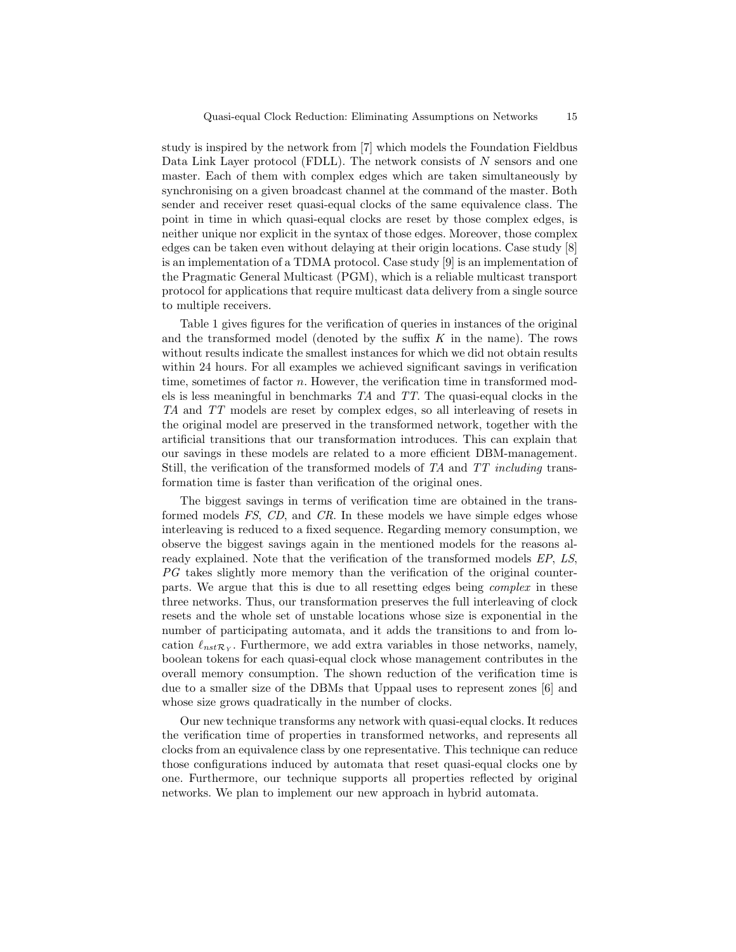study is inspired by the network from [7] which models the Foundation Fieldbus Data Link Layer protocol (FDLL). The network consists of  $N$  sensors and one master. Each of them with complex edges which are taken simultaneously by synchronising on a given broadcast channel at the command of the master. Both sender and receiver reset quasi-equal clocks of the same equivalence class. The point in time in which quasi-equal clocks are reset by those complex edges, is neither unique nor explicit in the syntax of those edges. Moreover, those complex edges can be taken even without delaying at their origin locations. Case study [8] is an implementation of a TDMA protocol. Case study [9] is an implementation of the Pragmatic General Multicast (PGM), which is a reliable multicast transport protocol for applications that require multicast data delivery from a single source to multiple receivers.

Table 1 gives figures for the verification of queries in instances of the original and the transformed model (denoted by the suffix  $K$  in the name). The rows without results indicate the smallest instances for which we did not obtain results within 24 hours. For all examples we achieved significant savings in verification time, sometimes of factor  $n$ . However, the verification time in transformed models is less meaningful in benchmarks TA and TT. The quasi-equal clocks in the TA and TT models are reset by complex edges, so all interleaving of resets in the original model are preserved in the transformed network, together with the artificial transitions that our transformation introduces. This can explain that our savings in these models are related to a more efficient DBM-management. Still, the verification of the transformed models of TA and TT including transformation time is faster than verification of the original ones.

The biggest savings in terms of verification time are obtained in the transformed models FS, CD, and CR. In these models we have simple edges whose interleaving is reduced to a fixed sequence. Regarding memory consumption, we observe the biggest savings again in the mentioned models for the reasons already explained. Note that the verification of the transformed models EP, LS, PG takes slightly more memory than the verification of the original counterparts. We argue that this is due to all resetting edges being complex in these three networks. Thus, our transformation preserves the full interleaving of clock resets and the whole set of unstable locations whose size is exponential in the number of participating automata, and it adds the transitions to and from location  $\ell_{nstR_Y}$ . Furthermore, we add extra variables in those networks, namely, boolean tokens for each quasi-equal clock whose management contributes in the overall memory consumption. The shown reduction of the verification time is due to a smaller size of the DBMs that Uppaal uses to represent zones [6] and whose size grows quadratically in the number of clocks.

Our new technique transforms any network with quasi-equal clocks. It reduces the verification time of properties in transformed networks, and represents all clocks from an equivalence class by one representative. This technique can reduce those configurations induced by automata that reset quasi-equal clocks one by one. Furthermore, our technique supports all properties reflected by original networks. We plan to implement our new approach in hybrid automata.